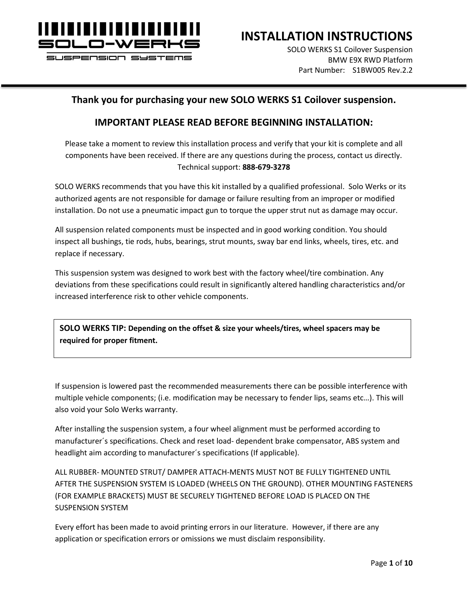

SI ISPENSION SUSTEMS

**INSTALLATION INSTRUCTIONS**

SOLO WERKS S1 Coilover Suspension BMW E9X RWD Platform Part Number: S1BW005 Rev.2.2

#### **Thank you for purchasing your new SOLO WERKS S1 Coilover suspension.**

#### **IMPORTANT PLEASE READ BEFORE BEGINNING INSTALLATION:**

Please take a moment to review this installation process and verify that your kit is complete and all components have been received. If there are any questions during the process, contact us directly. Technical support: **888-679-3278**

SOLO WERKS recommends that you have this kit installed by a qualified professional. Solo Werks or its authorized agents are not responsible for damage or failure resulting from an improper or modified installation. Do not use a pneumatic impact gun to torque the upper strut nut as damage may occur.

All suspension related components must be inspected and in good working condition. You should inspect all bushings, tie rods, hubs, bearings, strut mounts, sway bar end links, wheels, tires, etc. and replace if necessary.

This suspension system was designed to work best with the factory wheel/tire combination. Any deviations from these specifications could result in significantly altered handling characteristics and/or increased interference risk to other vehicle components.

**SOLO WERKS TIP: Depending on the offset & size your wheels/tires, wheel spacers may be required for proper fitment.**

If suspension is lowered past the recommended measurements there can be possible interference with multiple vehicle components; (i.e. modification may be necessary to fender lips, seams etc…). This will also void your Solo Werks warranty.

After installing the suspension system, a four wheel alignment must be performed according to manufacturer´s specifications. Check and reset load- dependent brake compensator, ABS system and headlight aim according to manufacturer´s specifications (If applicable).

ALL RUBBER- MOUNTED STRUT/ DAMPER ATTACH-MENTS MUST NOT BE FULLY TIGHTENED UNTIL AFTER THE SUSPENSION SYSTEM IS LOADED (WHEELS ON THE GROUND). OTHER MOUNTING FASTENERS (FOR EXAMPLE BRACKETS) MUST BE SECURELY TIGHTENED BEFORE LOAD IS PLACED ON THE SUSPENSION SYSTEM

Every effort has been made to avoid printing errors in our literature. However, if there are any application or specification errors or omissions we must disclaim responsibility.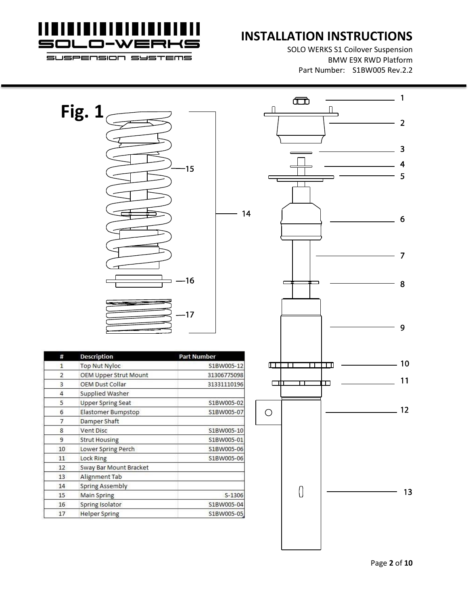

#### SUSPENSION SYSTEMS

# **INSTALLATION INSTRUCTIONS**

SOLO WERKS S1 Coilover Suspension BMW E9X RWD Platform Part Number: S1BW005 Rev.2.2

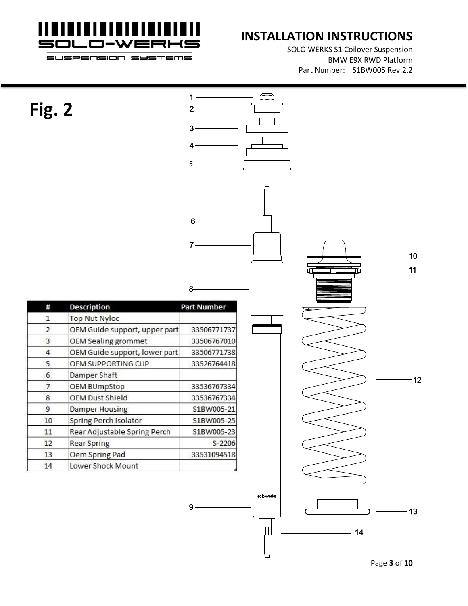

# **INSTALLATION INSTRUCTIONS**

SOLO WERKS S1 Coilover Suspension BMW E9X RWD Platform Part Number: S1BW005 Rev.2.2

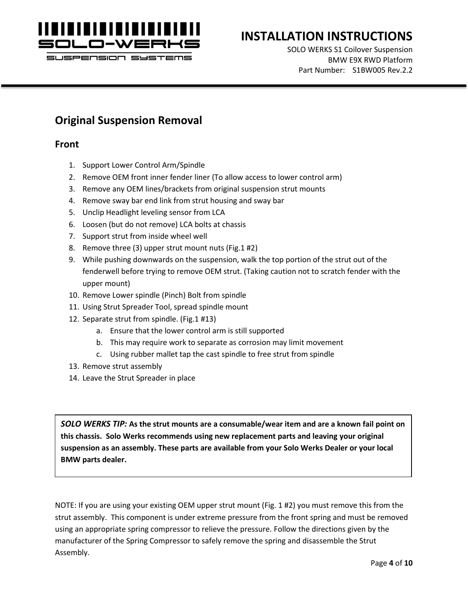

SUSPENSION SUSTEMS

# **INSTALLATION INSTRUCTIONS**

SOLO WERKS S1 Coilover Suspension BMW E9X RWD Platform Part Number: S1BW005 Rev.2.2

## **Original Suspension Removal**

#### **Front**

- 1. Support Lower Control Arm/Spindle
- 2. Remove OEM front inner fender liner (To allow access to lower control arm)
- 3. Remove any OEM lines/brackets from original suspension strut mounts
- 4. Remove sway bar end link from strut housing and sway bar
- 5. Unclip Headlight leveling sensor from LCA
- 6. Loosen (but do not remove) LCA bolts at chassis
- 7. Support strut from inside wheel well
- 8. Remove three (3) upper strut mount nuts (Fig.1 #2)
- 9. While pushing downwards on the suspension, walk the top portion of the strut out of the fenderwell before trying to remove OEM strut. (Taking caution not to scratch fender with the upper mount)
- 10. Remove Lower spindle (Pinch) Bolt from spindle
- 11. Using Strut Spreader Tool, spread spindle mount
- 12. Separate strut from spindle. (Fig.1 #13)
	- a. Ensure that the lower control arm is still supported
	- b. This may require work to separate as corrosion may limit movement
	- c. Using rubber mallet tap the cast spindle to free strut from spindle
- 13. Remove strut assembly
- 14. Leave the Strut Spreader in place

*SOLO WERKS TIP:* **As the strut mounts are a consumable/wear item and are a known fail point on this chassis. Solo Werks recommends using new replacement parts and leaving your original suspension as an assembly. These parts are available from your Solo Werks Dealer or your local BMW parts dealer.**

NOTE: If you are using your existing OEM upper strut mount (Fig. 1 #2) you must remove this from the strut assembly. This component is under extreme pressure from the front spring and must be removed using an appropriate spring compressor to relieve the pressure. Follow the directions given by the manufacturer of the Spring Compressor to safely remove the spring and disassemble the Strut Assembly.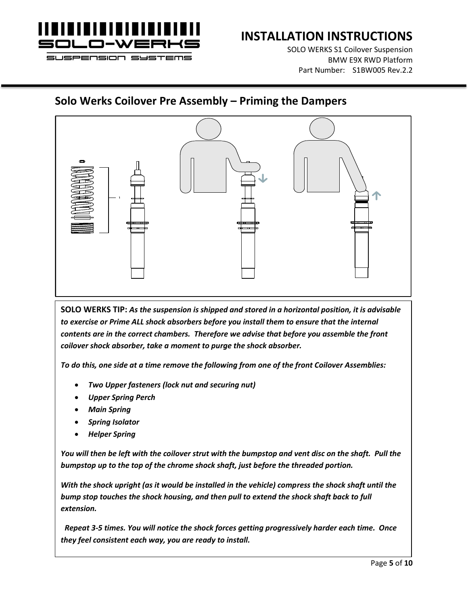

# **INSTALLATION INSTRUCTIONS**

SOLO WERKS S1 Coilover Suspension BMW E9X RWD Platform Part Number: S1BW005 Rev.2.2

## **Solo Werks Coilover Pre Assembly – Priming the Dampers**



**SOLO WERKS TIP:** *As the suspension is shipped and stored in a horizontal position, it is advisable to exercise or Prime ALL shock absorbers before you install them to ensure that the internal contents are in the correct chambers. Therefore we advise that before you assemble the front coilover shock absorber, take a moment to purge the shock absorber.* 

*To do this, one side at a time remove the following from one of the front Coilover Assemblies:*

- *Two Upper fasteners (lock nut and securing nut)*
- *Upper Spring Perch*
- *Main Spring*
- *Spring Isolator*
- *Helper Spring*

*You will then be left with the coilover strut with the bumpstop and vent disc on the shaft. Pull the bumpstop up to the top of the chrome shock shaft, just before the threaded portion.* 

*With the shock upright (as it would be installed in the vehicle) compress the shock shaft until the bump stop touches the shock housing, and then pull to extend the shock shaft back to full extension.*

 *Repeat 3-5 times. You will notice the shock forces getting progressively harder each time. Once they feel consistent each way, you are ready to install.*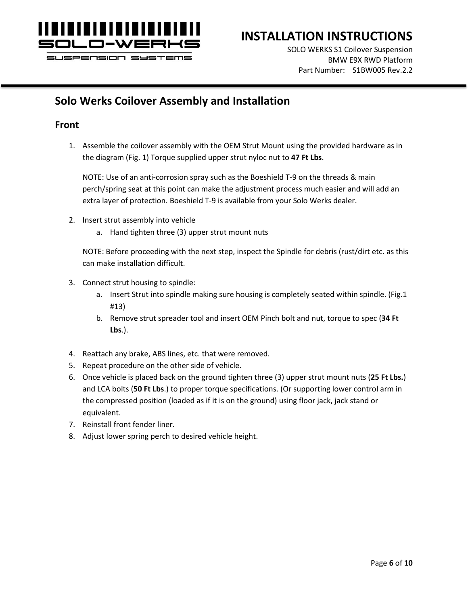

#### SUSPENSION SYSTEMS

## **INSTALLATION INSTRUCTIONS**

SOLO WERKS S1 Coilover Suspension BMW E9X RWD Platform Part Number: S1BW005 Rev.2.2

### **Solo Werks Coilover Assembly and Installation**

#### **Front**

1. Assemble the coilover assembly with the OEM Strut Mount using the provided hardware as in the diagram (Fig. 1) Torque supplied upper strut nyloc nut to **47 Ft Lbs**.

NOTE: Use of an anti-corrosion spray such as the Boeshield T-9 on the threads & main perch/spring seat at this point can make the adjustment process much easier and will add an extra layer of protection. Boeshield T-9 is available from your Solo Werks dealer.

- 2. Insert strut assembly into vehicle
	- a. Hand tighten three (3) upper strut mount nuts

NOTE: Before proceeding with the next step, inspect the Spindle for debris (rust/dirt etc. as this can make installation difficult.

- 3. Connect strut housing to spindle:
	- a. Insert Strut into spindle making sure housing is completely seated within spindle. (Fig.1 #13)
	- b. Remove strut spreader tool and insert OEM Pinch bolt and nut, torque to spec (**34 Ft Lbs**.).
- 4. Reattach any brake, ABS lines, etc. that were removed.
- 5. Repeat procedure on the other side of vehicle.
- 6. Once vehicle is placed back on the ground tighten three (3) upper strut mount nuts (**25 Ft Lbs.**) and LCA bolts (**50 Ft Lbs**.) to proper torque specifications. (Or supporting lower control arm in the compressed position (loaded as if it is on the ground) using floor jack, jack stand or equivalent.
- 7. Reinstall front fender liner.
- 8. Adjust lower spring perch to desired vehicle height.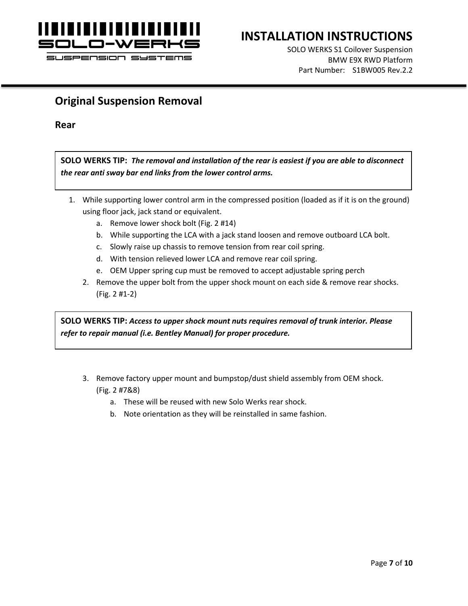

SI ISPENSION SUSTEMS

# **INSTALLATION INSTRUCTIONS**

SOLO WERKS S1 Coilover Suspension BMW E9X RWD Platform Part Number: S1BW005 Rev.2.2

### **Original Suspension Removal**

**Rear**

**SOLO WERKS TIP:** *The removal and installation of the rear is easiest if you are able to disconnect the rear anti sway bar end links from the lower control arms.*

- 1. While supporting lower control arm in the compressed position (loaded as if it is on the ground) using floor jack, jack stand or equivalent.
	- a. Remove lower shock bolt (Fig. 2 #14)
	- b. While supporting the LCA with a jack stand loosen and remove outboard LCA bolt.
	- c. Slowly raise up chassis to remove tension from rear coil spring.
	- d. With tension relieved lower LCA and remove rear coil spring.
	- e. OEM Upper spring cup must be removed to accept adjustable spring perch
	- 2. Remove the upper bolt from the upper shock mount on each side & remove rear shocks. (Fig. 2 #1-2)

**SOLO WERKS TIP:** *Access to upper shock mount nuts requires removal of trunk interior. Please refer to repair manual (i.e. Bentley Manual) for proper procedure.*

- 3. Remove factory upper mount and bumpstop/dust shield assembly from OEM shock. (Fig. 2 #7&8)
	- a. These will be reused with new Solo Werks rear shock.
	- b. Note orientation as they will be reinstalled in same fashion.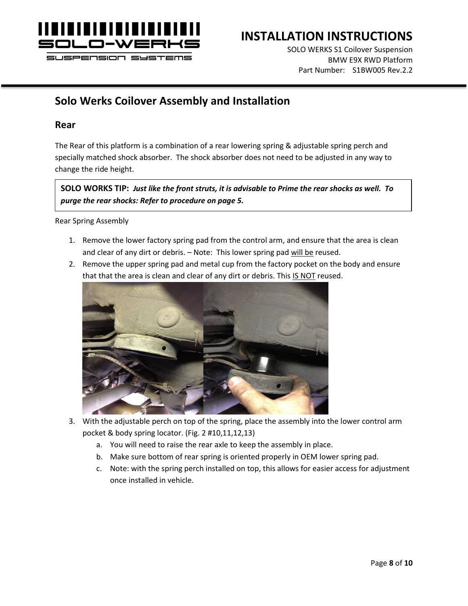

SI ISPENSION SUSTEMS

# **INSTALLATION INSTRUCTIONS**

SOLO WERKS S1 Coilover Suspension BMW E9X RWD Platform Part Number: S1BW005 Rev.2.2

## **Solo Werks Coilover Assembly and Installation**

#### **Rear**

The Rear of this platform is a combination of a rear lowering spring & adjustable spring perch and specially matched shock absorber. The shock absorber does not need to be adjusted in any way to change the ride height.

**SOLO WORKS TIP:** *Just like the front struts, it is advisable to Prime the rear shocks as well. To purge the rear shocks: Refer to procedure on page 5.*

Rear Spring Assembly

- 1. Remove the lower factory spring pad from the control arm, and ensure that the area is clean and clear of any dirt or debris. – Note: This lower spring pad will be reused.
- 2. Remove the upper spring pad and metal cup from the factory pocket on the body and ensure that that the area is clean and clear of any dirt or debris. This IS NOT reused.



- 3. With the adjustable perch on top of the spring, place the assembly into the lower control arm pocket & body spring locator. (Fig. 2 #10,11,12,13)
	- a. You will need to raise the rear axle to keep the assembly in place.
	- b. Make sure bottom of rear spring is oriented properly in OEM lower spring pad.
	- c. Note: with the spring perch installed on top, this allows for easier access for adjustment once installed in vehicle.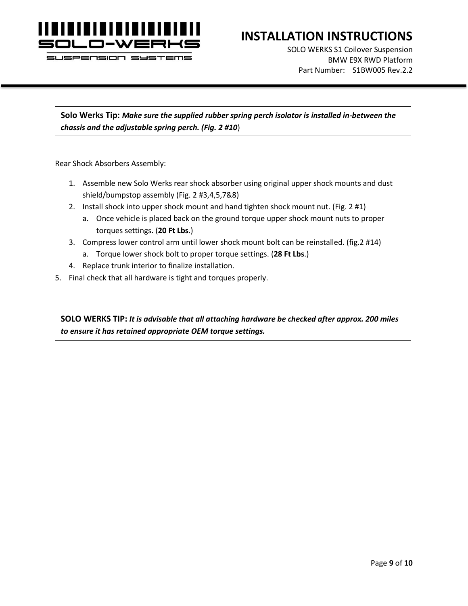

SUSPENSION SYSTEMS

# **INSTALLATION INSTRUCTIONS**

SOLO WERKS S1 Coilover Suspension BMW E9X RWD Platform Part Number: S1BW005 Rev.2.2

**Solo Werks Tip:** *Make sure the supplied rubber spring perch isolator is installed in-between the chassis and the adjustable spring perch. (Fig. 2 #10*)

Rear Shock Absorbers Assembly:

- 1. Assemble new Solo Werks rear shock absorber using original upper shock mounts and dust shield/bumpstop assembly (Fig. 2 #3,4,5,7&8)
- 2. Install shock into upper shock mount and hand tighten shock mount nut. (Fig. 2 #1)
	- a. Once vehicle is placed back on the ground torque upper shock mount nuts to proper torques settings. (**20 Ft Lbs**.)
- 3. Compress lower control arm until lower shock mount bolt can be reinstalled. (fig.2 #14)
	- a. Torque lower shock bolt to proper torque settings. (**28 Ft Lbs**.)
- 4. Replace trunk interior to finalize installation.
- 5. Final check that all hardware is tight and torques properly.

**SOLO WERKS TIP:** *It is advisable that all attaching hardware be checked after approx. 200 miles to ensure it has retained appropriate OEM torque settings.*